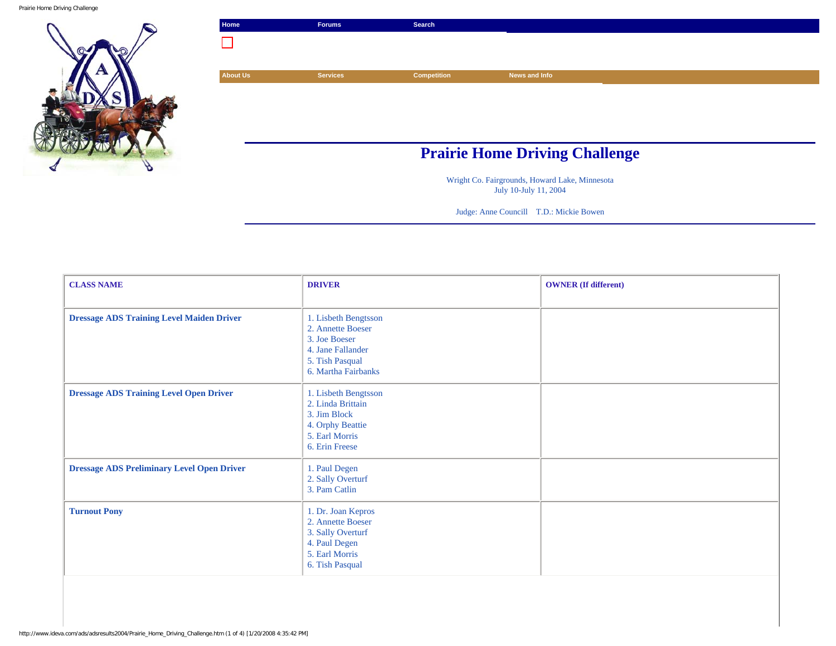Prairie Home Driving Challenge



| Home                                  | <b>Forums</b>   | Search             |               |  |
|---------------------------------------|-----------------|--------------------|---------------|--|
|                                       |                 |                    |               |  |
|                                       |                 |                    |               |  |
| <b>About Us</b>                       | <b>Services</b> | <b>Competition</b> | News and Info |  |
|                                       |                 |                    |               |  |
|                                       |                 |                    |               |  |
|                                       |                 |                    |               |  |
|                                       |                 |                    |               |  |
| <b>Prairie Home Driving Challenge</b> |                 |                    |               |  |

Wright Co. Fairgrounds, Howard Lake, Minnesota July 10-July 11, 2004

Judge: Anne Councill T.D.: Mickie Bowen

| <b>CLASS NAME</b>                                 | <b>DRIVER</b>                                                                                                             | <b>OWNER</b> (If different) |
|---------------------------------------------------|---------------------------------------------------------------------------------------------------------------------------|-----------------------------|
| <b>Dressage ADS Training Level Maiden Driver</b>  | 1. Lisbeth Bengtsson<br>2. Annette Boeser<br>3. Joe Boeser<br>4. Jane Fallander<br>5. Tish Pasqual<br>6. Martha Fairbanks |                             |
| <b>Dressage ADS Training Level Open Driver</b>    | 1. Lisbeth Bengtsson<br>2. Linda Brittain<br>3. Jim Block<br>4. Orphy Beattie<br>5. Earl Morris<br>6. Erin Freese         |                             |
| <b>Dressage ADS Preliminary Level Open Driver</b> | 1. Paul Degen<br>2. Sally Overturf<br>3. Pam Catlin                                                                       |                             |
| <b>Turnout Pony</b>                               | 1. Dr. Joan Kepros<br>2. Annette Boeser<br>3. Sally Overturf<br>4. Paul Degen<br>5. Earl Morris<br>6. Tish Pasqual        |                             |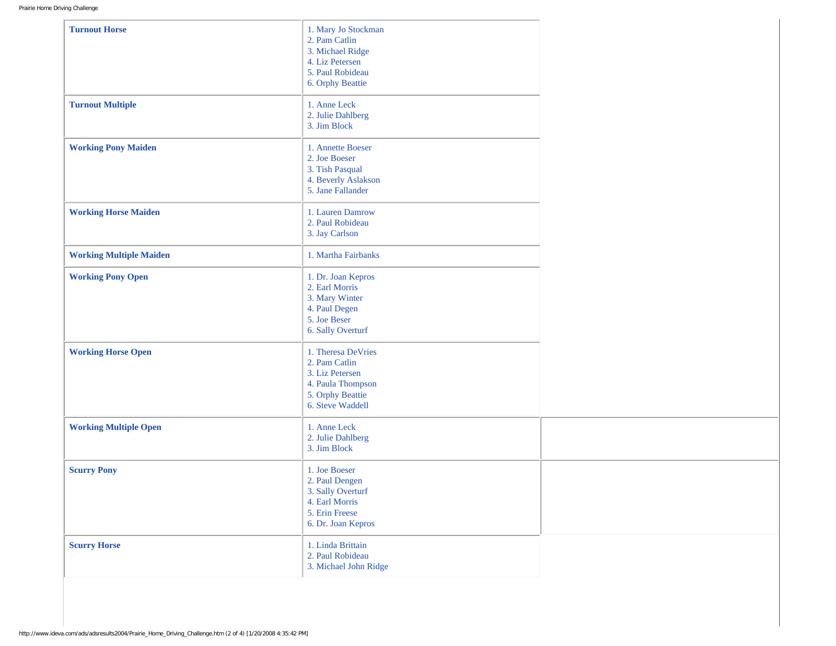| <b>Turnout Horse</b>           | 1. Mary Jo Stockman<br>2. Pam Catlin<br>3. Michael Ridge<br>4. Liz Petersen<br>5. Paul Robideau<br>6. Orphy Beattie |  |
|--------------------------------|---------------------------------------------------------------------------------------------------------------------|--|
| <b>Turnout Multiple</b>        | 1. Anne Leck<br>2. Julie Dahlberg<br>3. Jim Block                                                                   |  |
| <b>Working Pony Maiden</b>     | 1. Annette Boeser<br>2. Joe Boeser<br>3. Tish Pasqual<br>4. Beverly Aslakson<br>5. Jane Fallander                   |  |
| <b>Working Horse Maiden</b>    | 1. Lauren Damrow<br>2. Paul Robideau<br>3. Jay Carlson                                                              |  |
| <b>Working Multiple Maiden</b> | 1. Martha Fairbanks                                                                                                 |  |
| <b>Working Pony Open</b>       | 1. Dr. Joan Kepros<br>2. Earl Morris<br>3. Mary Winter<br>4. Paul Degen<br>5. Joe Beser<br>6. Sally Overturf        |  |
| <b>Working Horse Open</b>      | 1. Theresa DeVries<br>2. Pam Catlin<br>3. Liz Petersen<br>4. Paula Thompson<br>5. Orphy Beattie<br>6. Steve Waddell |  |
| <b>Working Multiple Open</b>   | 1. Anne Leck<br>2. Julie Dahlberg<br>3. Jim Block                                                                   |  |
| <b>Scurry Pony</b>             | 1. Joe Boeser<br>2. Paul Dengen<br>3. Sally Overturf<br>4. Earl Morris<br>5. Erin Freese<br>6. Dr. Joan Kepros      |  |
| <b>Scurry Horse</b>            | 1. Linda Brittain<br>2. Paul Robideau<br>3. Michael John Ridge                                                      |  |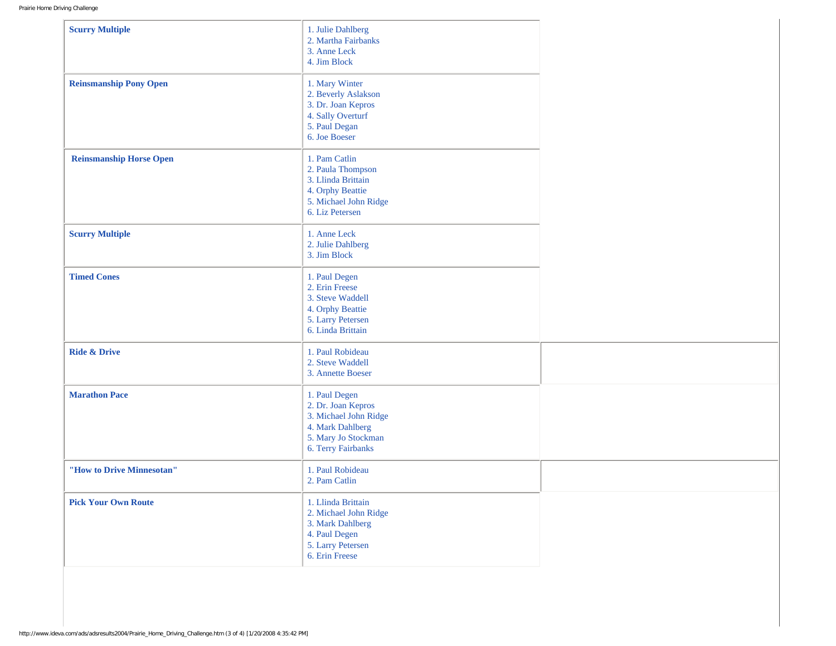| <b>Scurry Multiple</b>         | 1. Julie Dahlberg<br>2. Martha Fairbanks<br>3. Anne Leck<br>4. Jim Block                                                      |  |
|--------------------------------|-------------------------------------------------------------------------------------------------------------------------------|--|
| <b>Reinsmanship Pony Open</b>  | 1. Mary Winter<br>2. Beverly Aslakson<br>3. Dr. Joan Kepros<br>4. Sally Overturf<br>5. Paul Degan<br>6. Joe Boeser            |  |
| <b>Reinsmanship Horse Open</b> | 1. Pam Catlin<br>2. Paula Thompson<br>3. Llinda Brittain<br>4. Orphy Beattie<br>5. Michael John Ridge<br>6. Liz Petersen      |  |
| <b>Scurry Multiple</b>         | 1. Anne Leck<br>2. Julie Dahlberg<br>3. Jim Block                                                                             |  |
| <b>Timed Cones</b>             | 1. Paul Degen<br>2. Erin Freese<br>3. Steve Waddell<br>4. Orphy Beattie<br>5. Larry Petersen<br>6. Linda Brittain             |  |
| <b>Ride &amp; Drive</b>        | 1. Paul Robideau<br>2. Steve Waddell<br>3. Annette Boeser                                                                     |  |
| <b>Marathon Pace</b>           | 1. Paul Degen<br>2. Dr. Joan Kepros<br>3. Michael John Ridge<br>4. Mark Dahlberg<br>5. Mary Jo Stockman<br>6. Terry Fairbanks |  |
| "How to Drive Minnesotan"      | 1. Paul Robideau<br>2. Pam Catlin                                                                                             |  |
| <b>Pick Your Own Route</b>     | 1. Llinda Brittain<br>2. Michael John Ridge<br>3. Mark Dahlberg<br>4. Paul Degen<br>5. Larry Petersen<br>6. Erin Freese       |  |